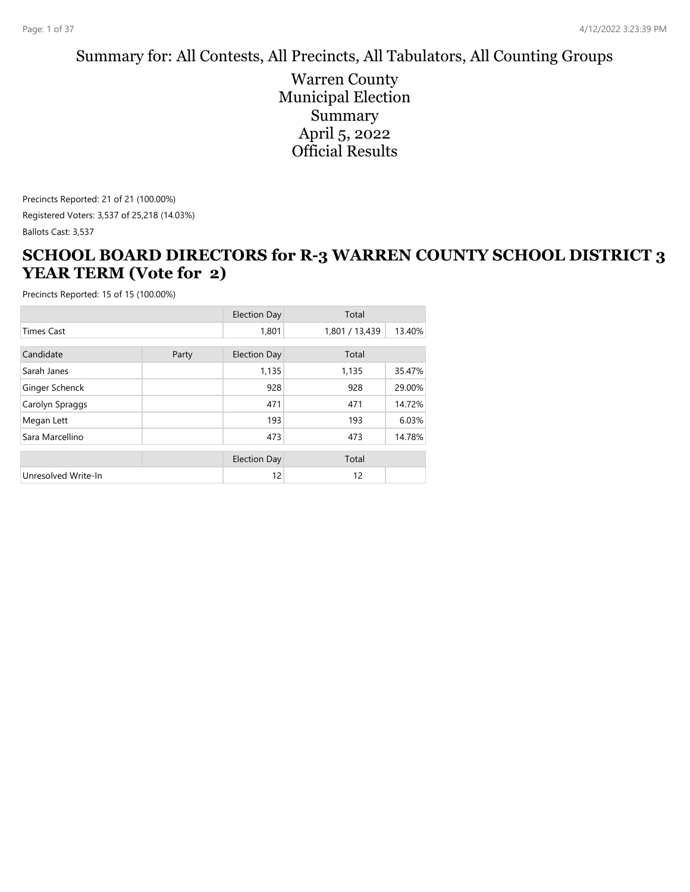#### Summary for: All Contests, All Precincts, All Tabulators, All Counting Groups

Warren County Municipal Election Summary April 5, 2022 Official Results

Precincts Reported: 21 of 21 (100.00%) Registered Voters: 3,537 of 25,218 (14.03%) Ballots Cast: 3,537

#### **SCHOOL BOARD DIRECTORS for R-3 WARREN COUNTY SCHOOL DISTRICT 3 YEAR TERM (Vote for 2)**

|                     |       | <b>Election Day</b> | Total          |        |
|---------------------|-------|---------------------|----------------|--------|
| <b>Times Cast</b>   |       | 1,801               | 1,801 / 13,439 | 13.40% |
| Candidate           | Party | <b>Election Day</b> | Total          |        |
| Sarah Janes         |       | 1,135               | 1,135          | 35.47% |
| Ginger Schenck      |       | 928                 | 928            | 29.00% |
| Carolyn Spraggs     |       | 471                 | 471            | 14.72% |
| Megan Lett          |       | 193                 | 193            | 6.03%  |
| Sara Marcellino     |       | 473                 | 473            | 14.78% |
|                     |       | <b>Election Day</b> | Total          |        |
| Unresolved Write-In |       | 12                  | 12             |        |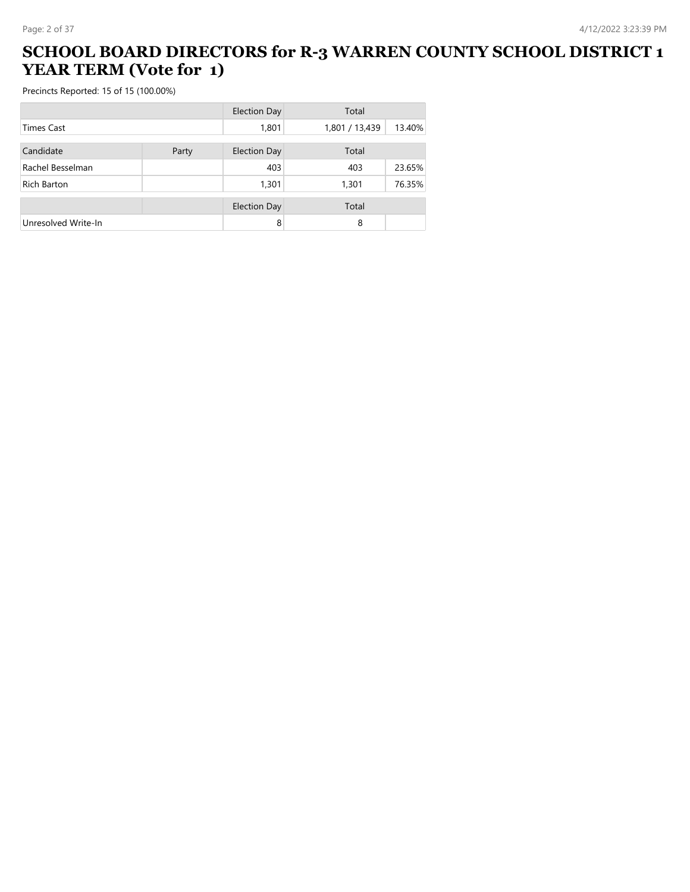#### **SCHOOL BOARD DIRECTORS for R-3 WARREN COUNTY SCHOOL DISTRICT 1 YEAR TERM (Vote for 1)**

|                     |       | <b>Election Day</b> | Total          |        |
|---------------------|-------|---------------------|----------------|--------|
| <b>Times Cast</b>   |       | 1,801               | 1,801 / 13,439 | 13.40% |
| Candidate           | Party | <b>Election Day</b> | Total          |        |
| Rachel Besselman    |       | 403                 | 403            | 23.65% |
| Rich Barton         |       | 1,301               | 1,301          | 76.35% |
|                     |       | Election Day        | Total          |        |
| Unresolved Write-In |       | 8                   | 8              |        |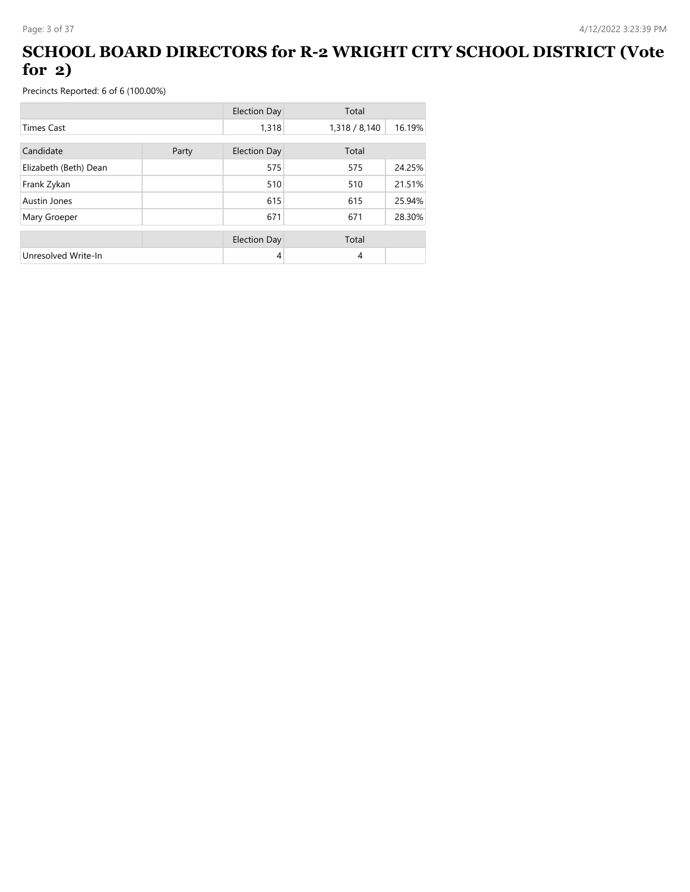#### **SCHOOL BOARD DIRECTORS for R-2 WRIGHT CITY SCHOOL DISTRICT (Vote for 2)**

|                       |       | <b>Election Day</b> | Total         |        |
|-----------------------|-------|---------------------|---------------|--------|
| <b>Times Cast</b>     |       | 1,318               | 1,318 / 8,140 | 16.19% |
| Candidate             | Party | Election Day        | Total         |        |
| Elizabeth (Beth) Dean |       | 575                 | 575           | 24.25% |
| Frank Zykan           |       | 510                 | 510           | 21.51% |
| Austin Jones          |       | 615                 | 615           | 25.94% |
| Mary Groeper          |       | 671                 | 671           | 28.30% |
|                       |       | <b>Election Day</b> | Total         |        |
| Unresolved Write-In   |       | 4                   | 4             |        |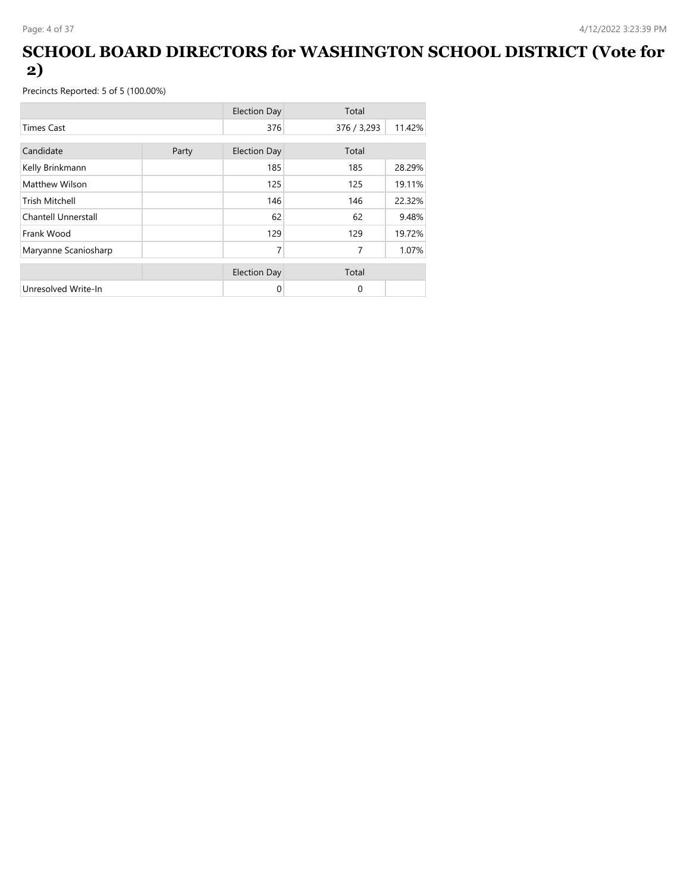#### **SCHOOL BOARD DIRECTORS for WASHINGTON SCHOOL DISTRICT (Vote for 2)**

|                       |       | <b>Election Day</b> | Total       |        |
|-----------------------|-------|---------------------|-------------|--------|
| <b>Times Cast</b>     |       | 376                 | 376 / 3,293 | 11.42% |
| Candidate             | Party | <b>Election Day</b> | Total       |        |
| Kelly Brinkmann       |       | 185                 | 185         | 28.29% |
| Matthew Wilson        |       | 125                 | 125         | 19.11% |
| <b>Trish Mitchell</b> |       | 146                 | 146         | 22.32% |
| Chantell Unnerstall   |       | 62                  | 62          | 9.48%  |
| Frank Wood            |       | 129                 | 129         | 19.72% |
| Maryanne Scaniosharp  |       | 7                   | 7           | 1.07%  |
|                       |       | <b>Election Day</b> | Total       |        |
| Unresolved Write-In   |       | 0                   | $\Omega$    |        |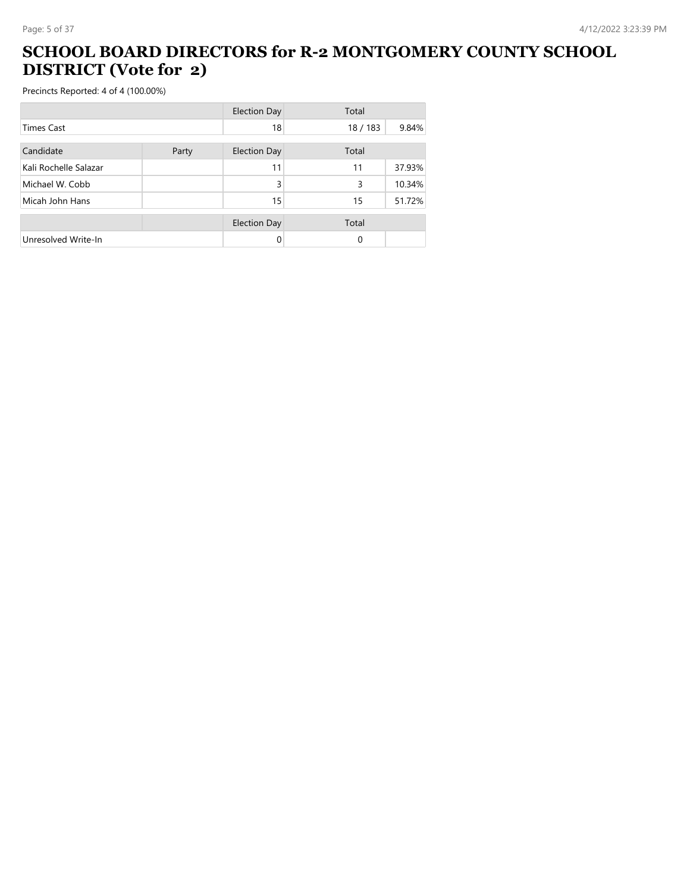#### **SCHOOL BOARD DIRECTORS for R-2 MONTGOMERY COUNTY SCHOOL DISTRICT (Vote for 2)**

|                       |       | <b>Election Day</b> | Total  |        |
|-----------------------|-------|---------------------|--------|--------|
| <b>Times Cast</b>     |       | 18                  | 18/183 | 9.84%  |
| Candidate             | Party | <b>Election Day</b> | Total  |        |
|                       |       |                     |        |        |
| Kali Rochelle Salazar |       | 11                  | 11     | 37.93% |
| Michael W. Cobb       |       | 3                   | 3      | 10.34% |
| Micah John Hans       |       | 15                  | 15     | 51.72% |
|                       |       | <b>Election Day</b> | Total  |        |
| Unresolved Write-In   |       |                     | 0      |        |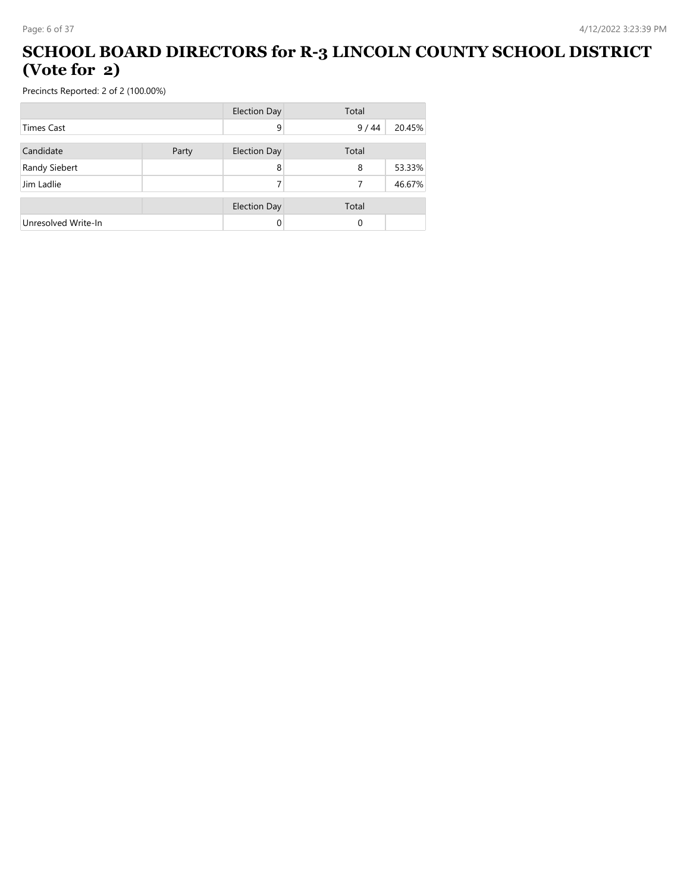#### **SCHOOL BOARD DIRECTORS for R-3 LINCOLN COUNTY SCHOOL DISTRICT (Vote for 2)**

|                     |       | <b>Election Day</b> | Total |        |
|---------------------|-------|---------------------|-------|--------|
| <b>Times Cast</b>   |       | 9                   | 9/44  | 20.45% |
| Candidate           | Party | <b>Election Day</b> | Total |        |
| Randy Siebert       |       | 8                   | 8     | 53.33% |
| Jim Ladlie          |       |                     | 7     | 46.67% |
|                     |       | <b>Election Day</b> | Total |        |
| Unresolved Write-In |       | 0                   | 0     |        |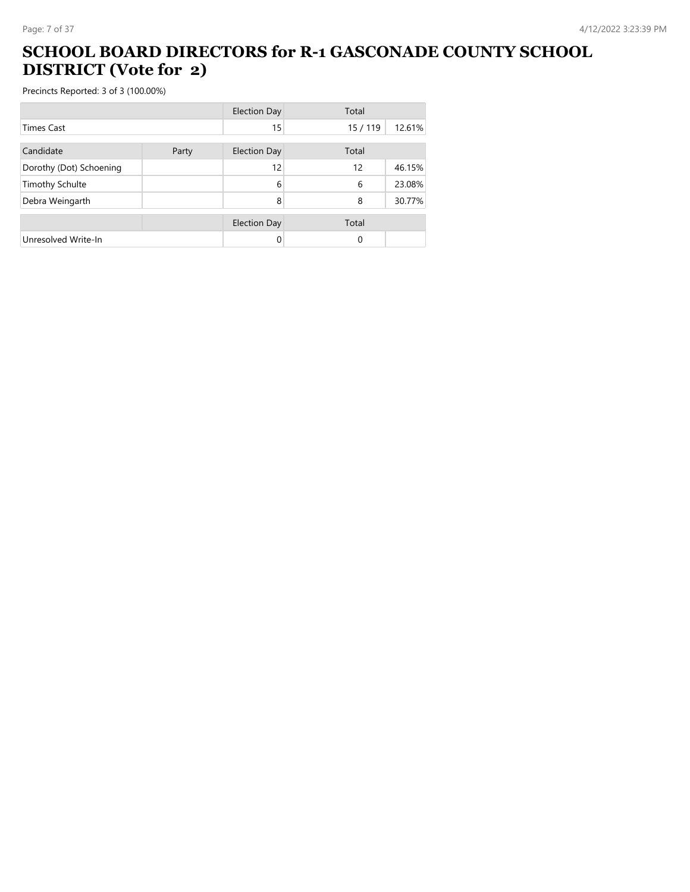#### **SCHOOL BOARD DIRECTORS for R-1 GASCONADE COUNTY SCHOOL DISTRICT (Vote for 2)**

|                         |       | <b>Election Day</b> | Total    |        |
|-------------------------|-------|---------------------|----------|--------|
| <b>Times Cast</b>       |       | 15                  | 15 / 119 | 12.61% |
| Candidate               | Party | <b>Election Day</b> | Total    |        |
| Dorothy (Dot) Schoening |       | 12                  | 12       | 46.15% |
| <b>Timothy Schulte</b>  |       | 6                   | 6        | 23.08% |
| Debra Weingarth         |       | 8                   | 8        | 30.77% |
|                         |       | <b>Election Day</b> | Total    |        |
| Unresolved Write-In     |       | 0                   | 0        |        |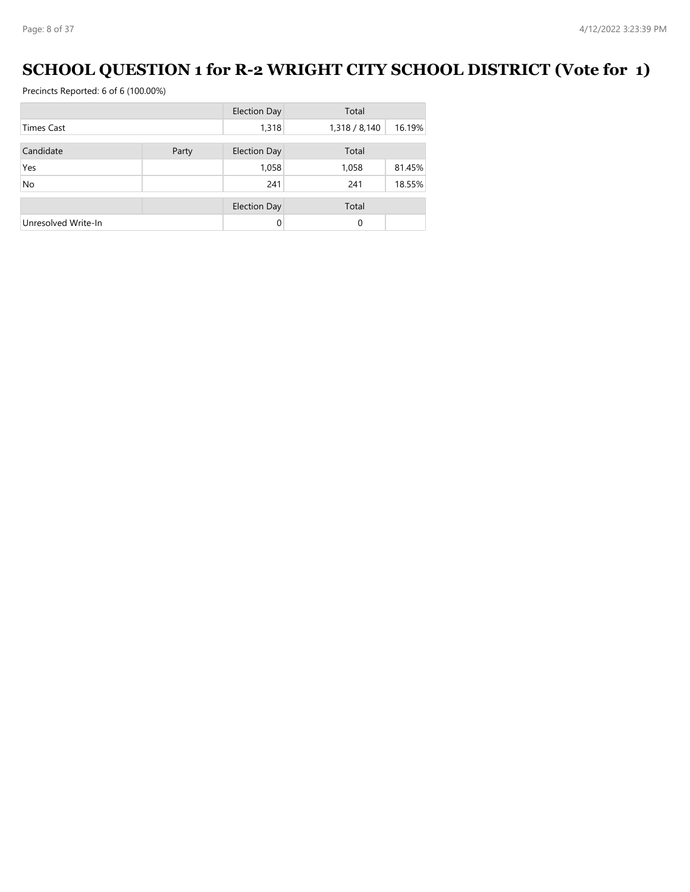# **SCHOOL QUESTION 1 for R-2 WRIGHT CITY SCHOOL DISTRICT (Vote for 1)**

|                     |       | <b>Election Day</b> | Total         |        |
|---------------------|-------|---------------------|---------------|--------|
| <b>Times Cast</b>   |       | 1,318               | 1,318 / 8,140 | 16.19% |
| Candidate           | Party | <b>Election Day</b> | Total         |        |
| Yes                 |       | 1,058               | 1,058         | 81.45% |
| No                  |       | 241                 | 241           | 18.55% |
|                     |       | <b>Election Day</b> | Total         |        |
| Unresolved Write-In |       | 0                   | $\Omega$      |        |
|                     |       |                     |               |        |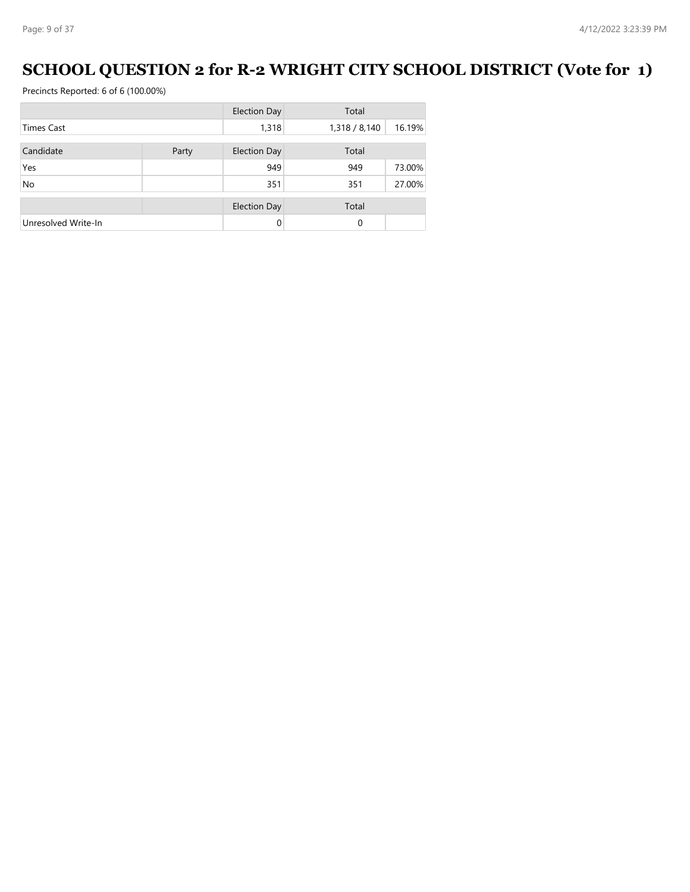# **SCHOOL QUESTION 2 for R-2 WRIGHT CITY SCHOOL DISTRICT (Vote for 1)**

|                     |       | <b>Election Day</b> | Total         |        |
|---------------------|-------|---------------------|---------------|--------|
| <b>Times Cast</b>   |       | 1,318               | 1,318 / 8,140 | 16.19% |
| Candidate           | Party | <b>Election Day</b> | Total         |        |
| Yes                 |       | 949                 | 949           | 73.00% |
| <b>No</b>           |       | 351                 | 351           | 27.00% |
|                     |       | <b>Election Day</b> | Total         |        |
| Unresolved Write-In |       | 0                   | $\Omega$      |        |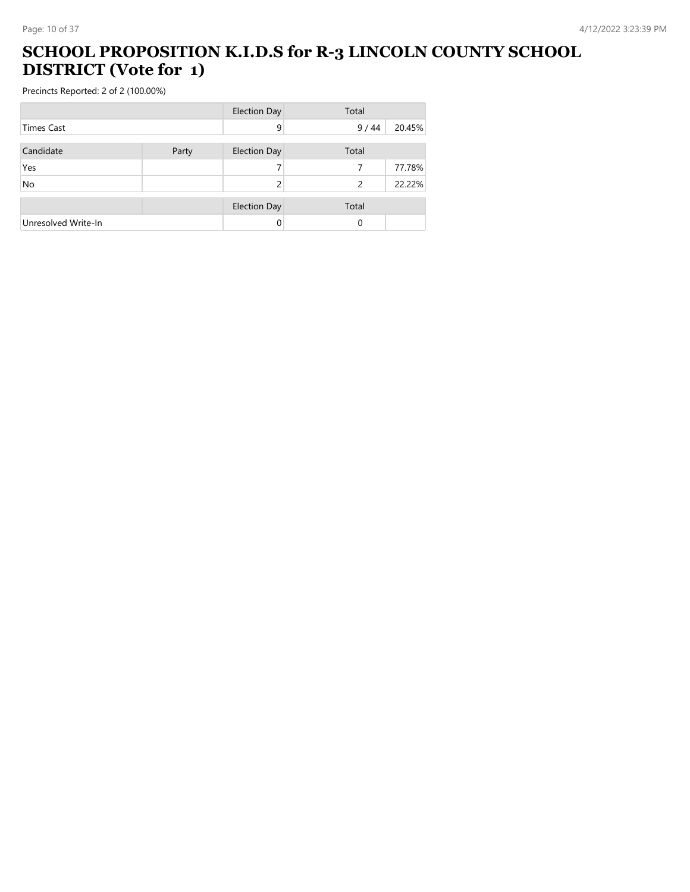#### **SCHOOL PROPOSITION K.I.D.S for R-3 LINCOLN COUNTY SCHOOL DISTRICT (Vote for 1)**

|                     |       | <b>Election Day</b> | Total         |        |
|---------------------|-------|---------------------|---------------|--------|
| <b>Times Cast</b>   |       | 9                   | 9/44          | 20.45% |
| Candidate           | Party | <b>Election Day</b> | Total         |        |
| Yes                 |       |                     |               | 77.78% |
| No                  |       | 2                   | $\mathcal{P}$ | 22.22% |
|                     |       | <b>Election Day</b> | Total         |        |
| Unresolved Write-In |       | 0                   | 0             |        |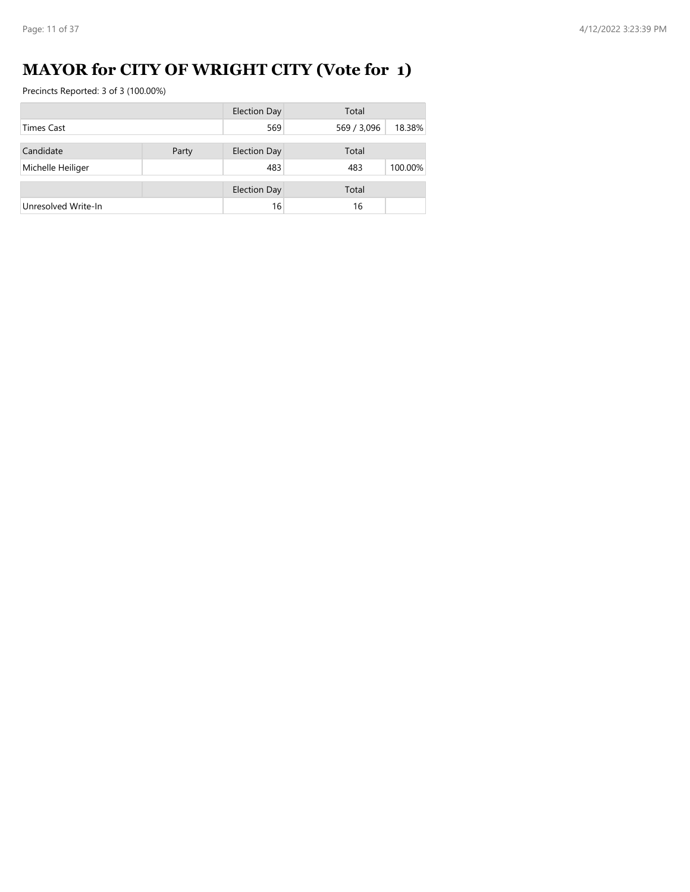# **MAYOR for CITY OF WRIGHT CITY (Vote for 1)**

|                     |       | <b>Election Day</b> | Total       |         |
|---------------------|-------|---------------------|-------------|---------|
| <b>Times Cast</b>   |       | 569                 | 569 / 3,096 | 18.38%  |
|                     |       |                     |             |         |
| Candidate           | Party | <b>Election Day</b> | Total       |         |
| Michelle Heiliger   |       | 483                 | 483         | 100.00% |
|                     |       |                     |             |         |
|                     |       | <b>Election Day</b> | Total       |         |
| Unresolved Write-In |       | 16                  | 16          |         |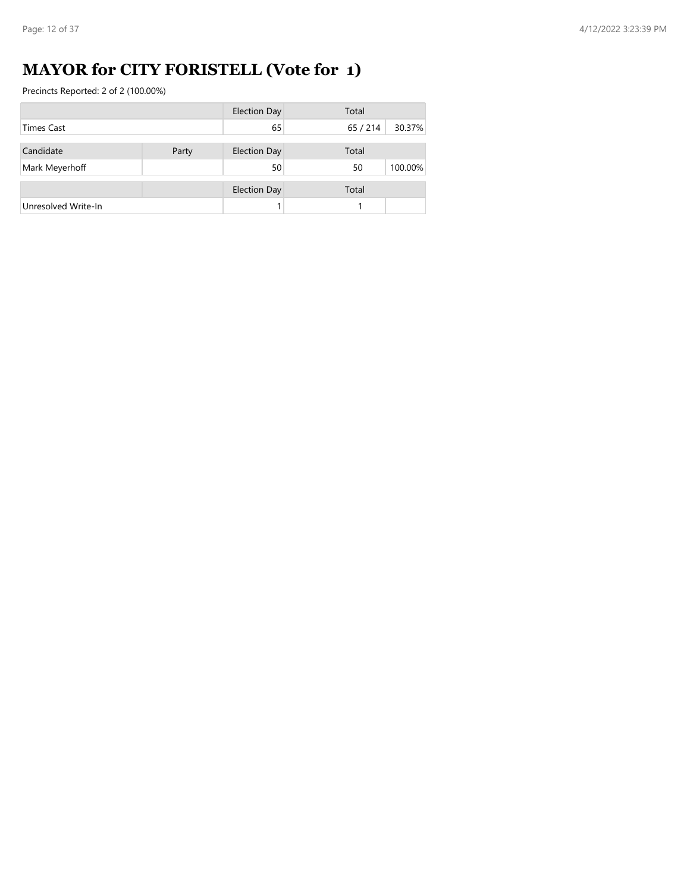# **MAYOR for CITY FORISTELL (Vote for 1)**

|                     |       | <b>Election Day</b> | Total  |         |
|---------------------|-------|---------------------|--------|---------|
| <b>Times Cast</b>   |       | 65                  | 65/214 | 30.37%  |
|                     |       |                     |        |         |
| Candidate           | Party | <b>Election Day</b> | Total  |         |
| Mark Meyerhoff      |       | 50                  | 50     | 100.00% |
|                     |       | <b>Election Day</b> | Total  |         |
| Unresolved Write-In |       |                     |        |         |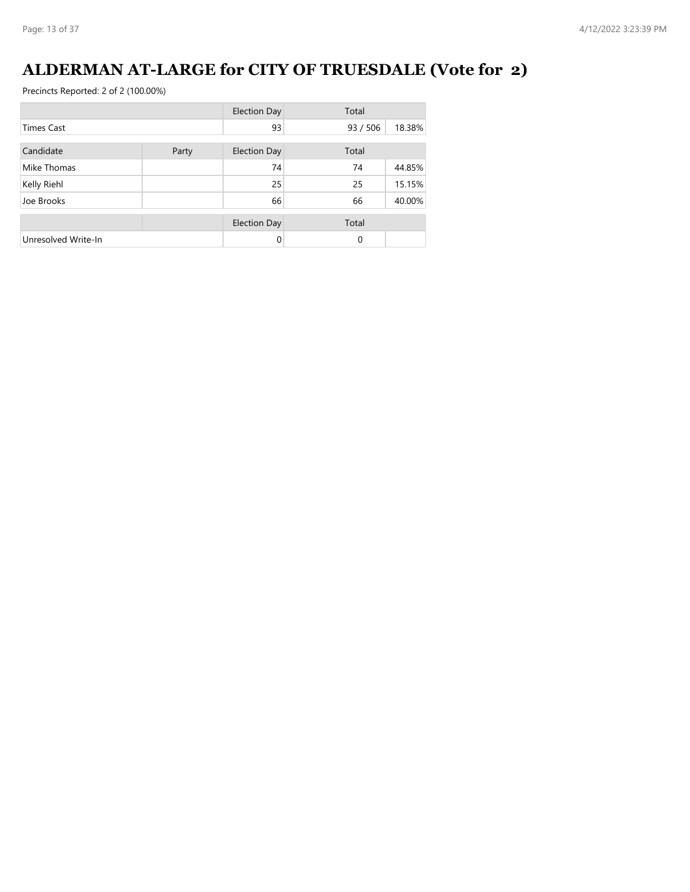# **ALDERMAN AT-LARGE for CITY OF TRUESDALE (Vote for 2)**

|                     |       | <b>Election Day</b> | Total              |
|---------------------|-------|---------------------|--------------------|
| <b>Times Cast</b>   |       | 93                  | 18.38%<br>93 / 506 |
| Candidate           | Party | <b>Election Day</b> | Total              |
| Mike Thomas         |       | 74                  | 74<br>44.85%       |
| Kelly Riehl         |       | 25                  | 15.15%<br>25       |
| Joe Brooks          |       | 66                  | 66<br>40.00%       |
|                     |       | <b>Election Day</b> | Total              |
| Unresolved Write-In |       | $\Omega$            | 0                  |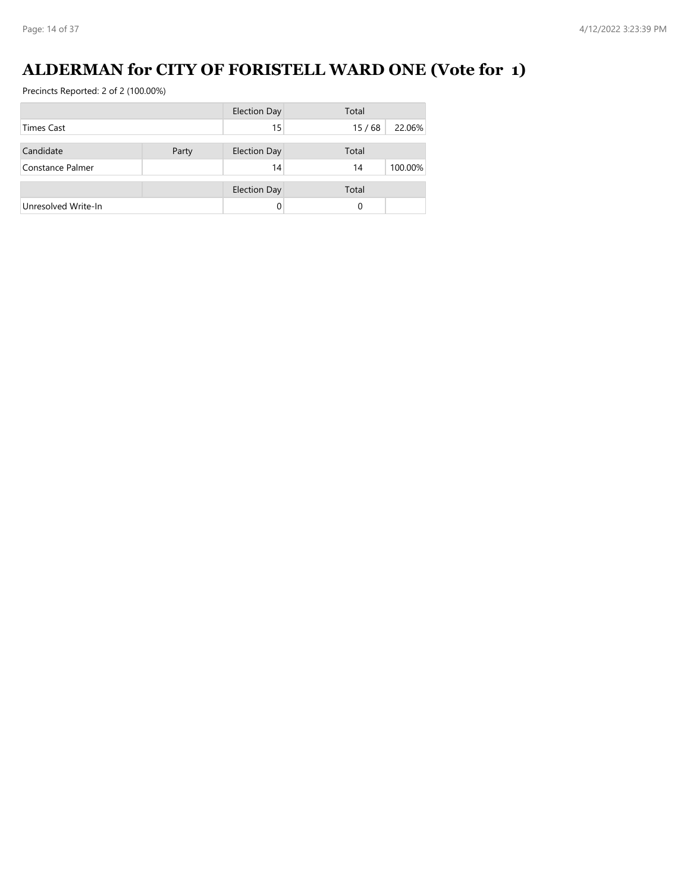# **ALDERMAN for CITY OF FORISTELL WARD ONE (Vote for 1)**

|                     |       | <b>Election Day</b> | Total |         |
|---------------------|-------|---------------------|-------|---------|
| <b>Times Cast</b>   |       | 15                  | 15/68 | 22.06%  |
| Candidate           | Party | <b>Election Day</b> | Total |         |
| Constance Palmer    |       | 14                  |       | 100.00% |
|                     |       |                     | 14    |         |
|                     |       | <b>Election Day</b> | Total |         |
| Unresolved Write-In |       | 0                   | 0     |         |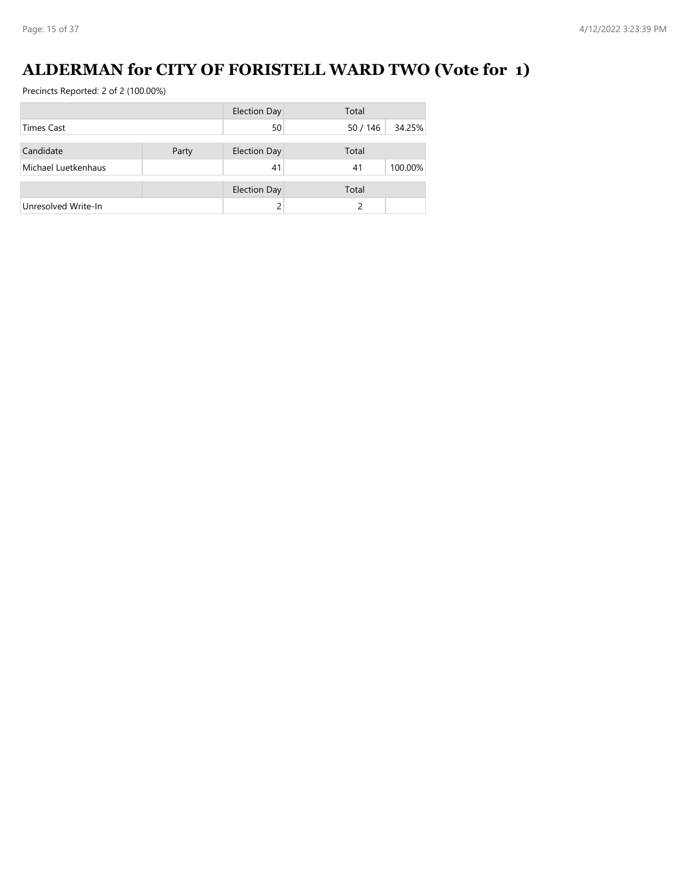# **ALDERMAN for CITY OF FORISTELL WARD TWO (Vote for 1)**

|                     |       | <b>Election Day</b> | Total            |
|---------------------|-------|---------------------|------------------|
| <b>Times Cast</b>   |       | 50                  | 34.25%<br>50/146 |
| Candidate           | Party | <b>Election Day</b> | Total            |
| Michael Luetkenhaus |       | 41                  | 100.00%<br>41    |
|                     |       |                     |                  |
|                     |       | <b>Election Day</b> | Total            |
| Unresolved Write-In |       |                     |                  |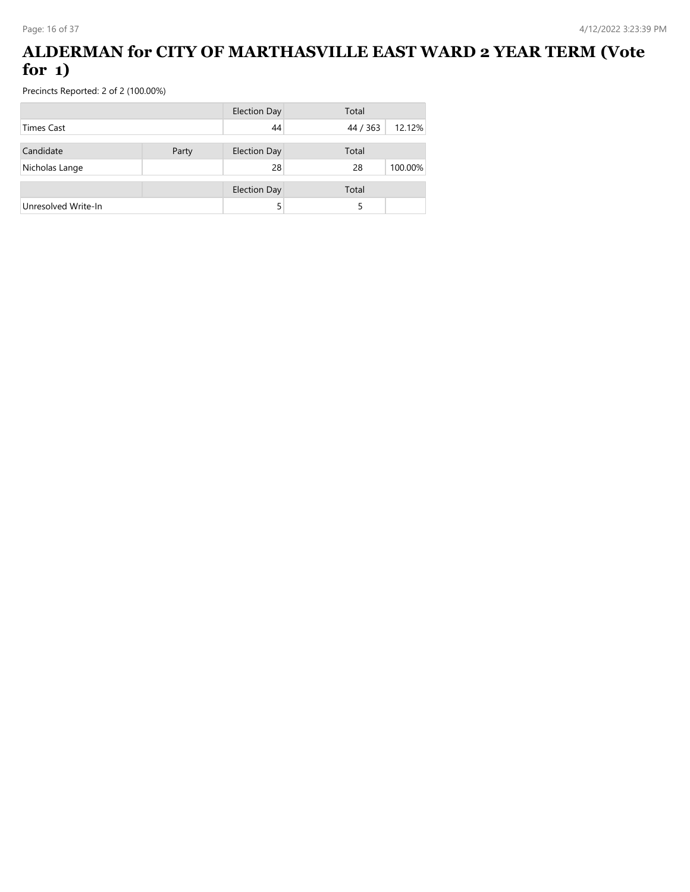#### **ALDERMAN for CITY OF MARTHASVILLE EAST WARD 2 YEAR TERM (Vote for 1)**

|                     |       | <b>Election Day</b> | Total    |         |
|---------------------|-------|---------------------|----------|---------|
| <b>Times Cast</b>   |       | 44                  | 44 / 363 | 12.12%  |
| Candidate           | Party | <b>Election Day</b> | Total    |         |
| Nicholas Lange      |       | 28                  | 28       | 100.00% |
|                     |       | <b>Election Day</b> | Total    |         |
| Unresolved Write-In |       |                     |          |         |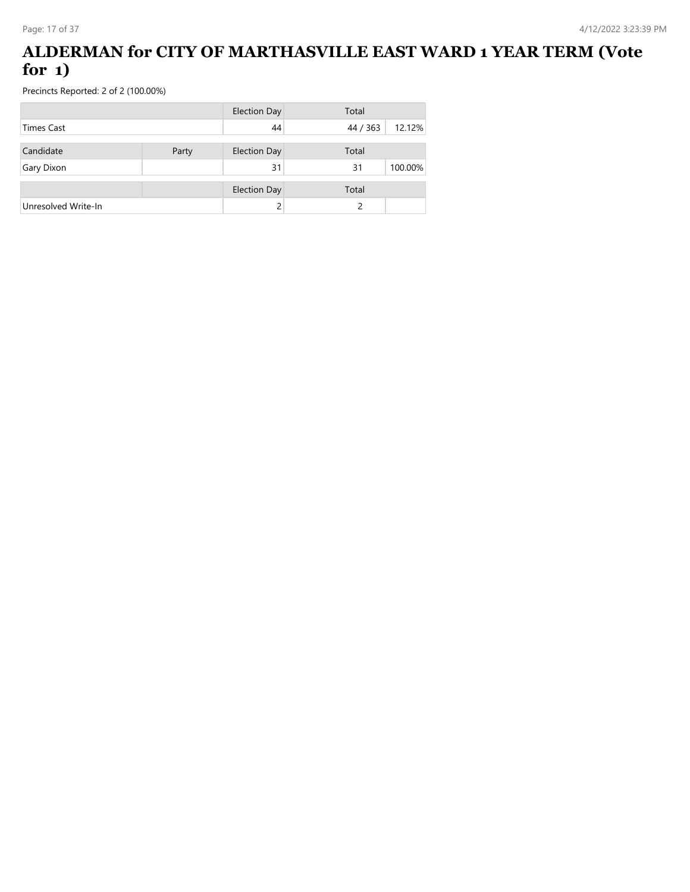#### **ALDERMAN for CITY OF MARTHASVILLE EAST WARD 1 YEAR TERM (Vote for 1)**

|                     |       | <b>Election Day</b> | Total    |         |
|---------------------|-------|---------------------|----------|---------|
| Times Cast          |       | 44                  | 44 / 363 | 12.12%  |
|                     |       |                     |          |         |
| Candidate           | Party | <b>Election Day</b> | Total    |         |
| Gary Dixon          |       | 31                  | 31       | 100.00% |
|                     |       | <b>Election Day</b> | Total    |         |
| Unresolved Write-In |       |                     | ς        |         |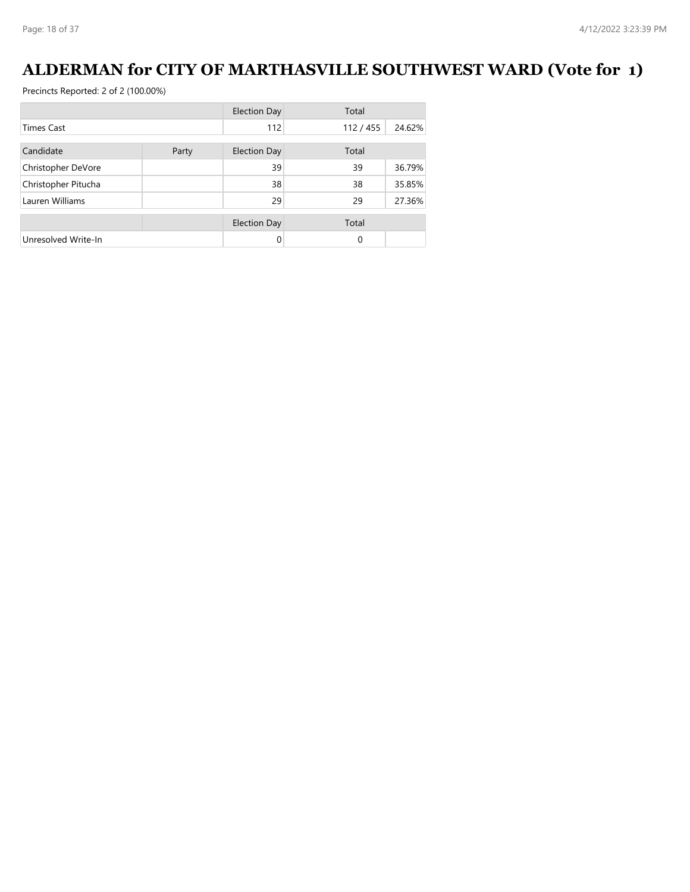# **ALDERMAN for CITY OF MARTHASVILLE SOUTHWEST WARD (Vote for 1)**

|                     |       | <b>Election Day</b> | Total    |        |
|---------------------|-------|---------------------|----------|--------|
| <b>Times Cast</b>   |       | 112                 | 112/455  | 24.62% |
| Candidate           | Party | <b>Election Day</b> | Total    |        |
| Christopher DeVore  |       | 39                  | 39       | 36.79% |
| Christopher Pitucha |       | 38                  | 38       | 35.85% |
| Lauren Williams     |       | 29                  | 29       | 27.36% |
|                     |       | <b>Election Day</b> | Total    |        |
| Unresolved Write-In |       | 0                   | $\Omega$ |        |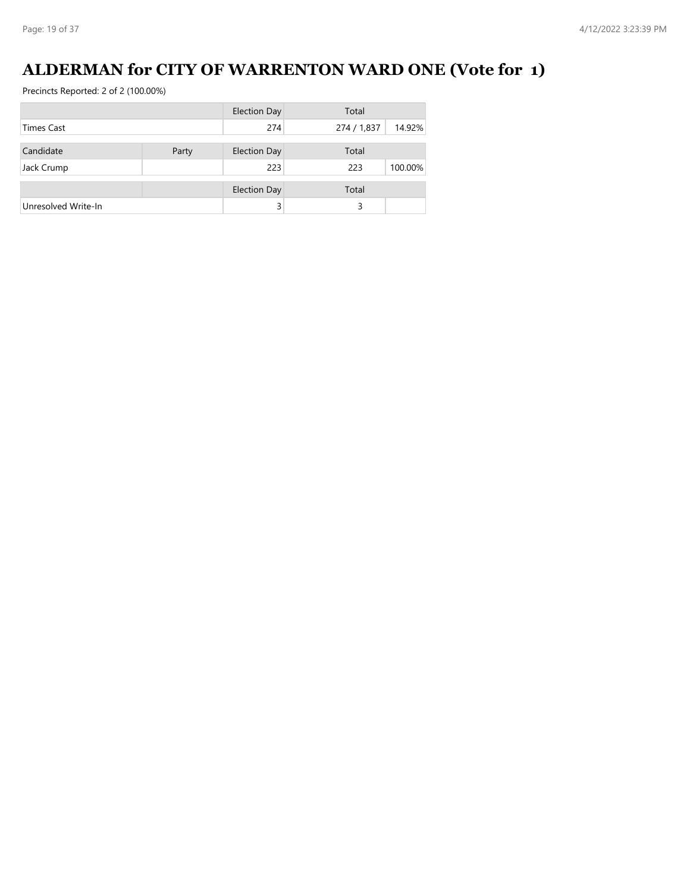# **ALDERMAN for CITY OF WARRENTON WARD ONE (Vote for 1)**

|                     |       | <b>Election Day</b> | Total       |         |
|---------------------|-------|---------------------|-------------|---------|
| <b>Times Cast</b>   |       | 274                 | 274 / 1,837 | 14.92%  |
|                     |       |                     |             |         |
| Candidate           | Party | <b>Election Day</b> | Total       |         |
| Jack Crump          |       | 223                 | 223         | 100.00% |
|                     |       |                     |             |         |
|                     |       | <b>Election Day</b> | Total       |         |
| Unresolved Write-In |       |                     | 3           |         |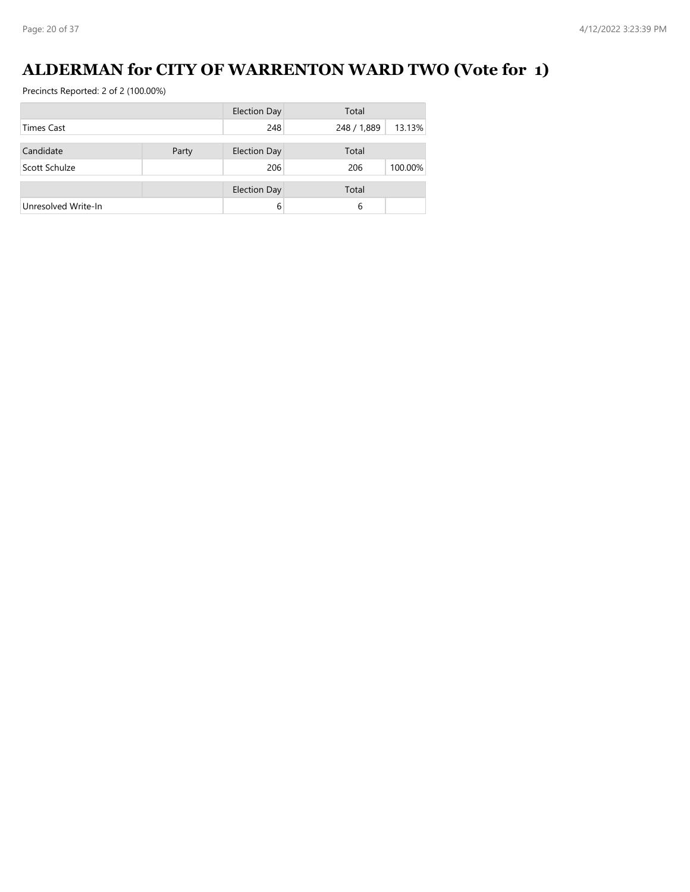# **ALDERMAN for CITY OF WARRENTON WARD TWO (Vote for 1)**

|                     |       | <b>Election Day</b> | Total       |         |
|---------------------|-------|---------------------|-------------|---------|
| <b>Times Cast</b>   |       | 248                 | 248 / 1,889 | 13.13%  |
|                     |       |                     |             |         |
| Candidate           | Party | <b>Election Day</b> | Total       |         |
| Scott Schulze       |       | 206                 | 206         | 100.00% |
|                     |       | <b>Election Day</b> | Total       |         |
|                     |       |                     |             |         |
| Unresolved Write-In |       | 6                   | 6           |         |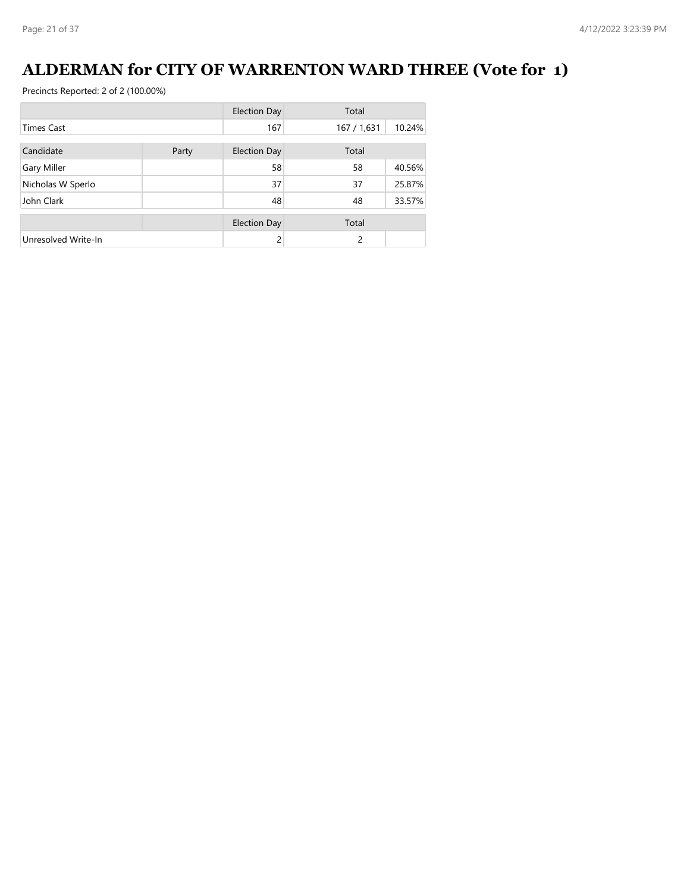# **ALDERMAN for CITY OF WARRENTON WARD THREE (Vote for 1)**

|                     |       | <b>Election Day</b> | Total       |        |
|---------------------|-------|---------------------|-------------|--------|
| <b>Times Cast</b>   |       | 167                 | 167 / 1,631 | 10.24% |
| Candidate           | Party | <b>Election Day</b> | Total       |        |
| Gary Miller         |       | 58                  | 58          | 40.56% |
| Nicholas W Sperlo   |       | 37                  | 37          | 25.87% |
| John Clark          |       | 48                  | 48          | 33.57% |
|                     |       | <b>Election Day</b> | Total       |        |
| Unresolved Write-In |       | 2                   | 2           |        |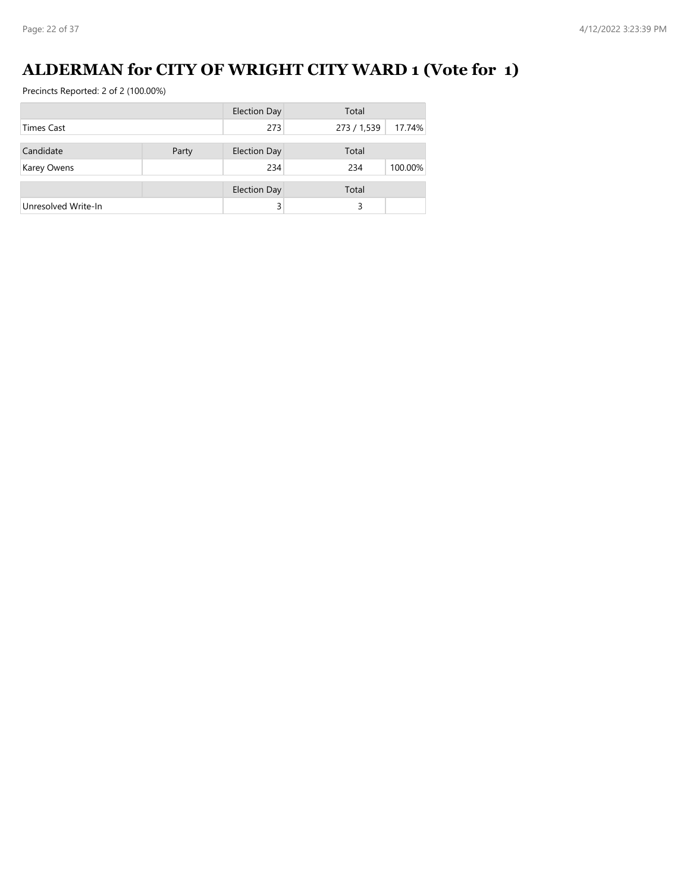# **ALDERMAN for CITY OF WRIGHT CITY WARD 1 (Vote for 1)**

|                     |       | <b>Election Day</b> | Total       |         |
|---------------------|-------|---------------------|-------------|---------|
| <b>Times Cast</b>   |       | 273                 | 273 / 1,539 | 17.74%  |
|                     |       |                     |             |         |
| Candidate           | Party | <b>Election Day</b> | Total       |         |
| Karey Owens         |       | 234                 | 234         | 100.00% |
|                     |       |                     |             |         |
|                     |       | <b>Election Day</b> | Total       |         |
| Unresolved Write-In |       |                     | 3           |         |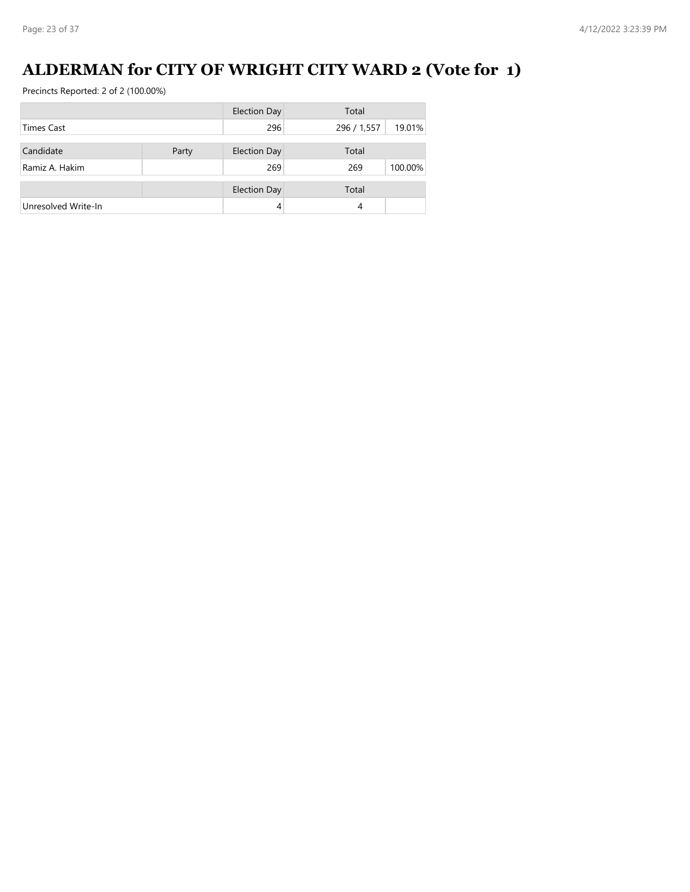# **ALDERMAN for CITY OF WRIGHT CITY WARD 2 (Vote for 1)**

|                     |       | <b>Election Day</b> | Total       |         |
|---------------------|-------|---------------------|-------------|---------|
| <b>Times Cast</b>   |       | 296                 | 296 / 1,557 | 19.01%  |
| Candidate           | Party | <b>Election Day</b> | Total       |         |
| Ramiz A. Hakim      |       | 269                 | 269         | 100.00% |
|                     |       |                     |             |         |
|                     |       | <b>Election Day</b> | Total       |         |
| Unresolved Write-In |       | 4                   | 4           |         |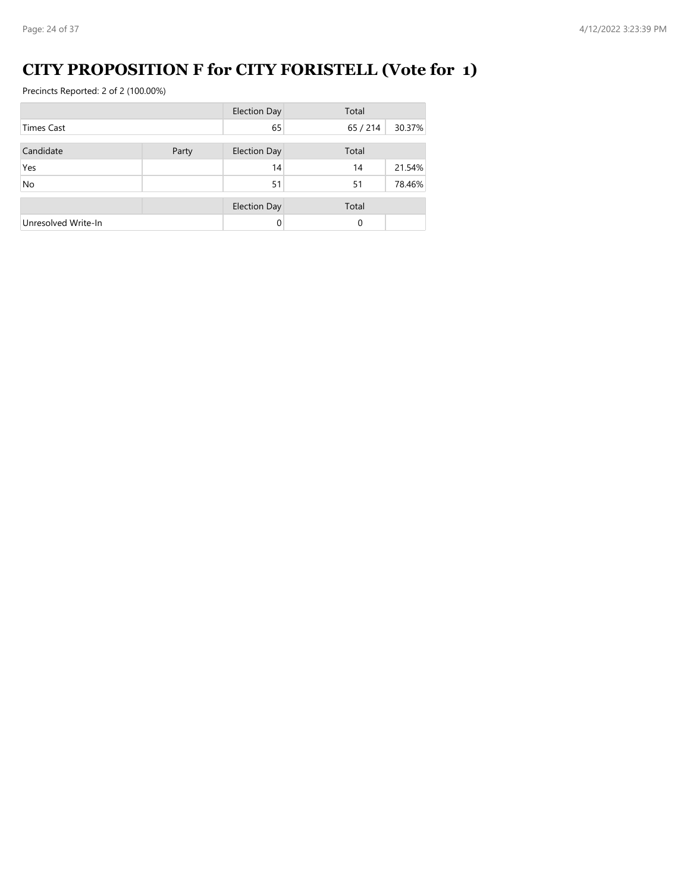# **CITY PROPOSITION F for CITY FORISTELL (Vote for 1)**

|                     |       | <b>Election Day</b> | Total    |        |
|---------------------|-------|---------------------|----------|--------|
| <b>Times Cast</b>   |       | 65                  | 65/214   | 30.37% |
| Candidate           | Party | <b>Election Day</b> | Total    |        |
| Yes                 |       | 14                  | 14       | 21.54% |
| No                  |       | 51                  | 51       | 78.46% |
|                     |       | <b>Election Day</b> | Total    |        |
| Unresolved Write-In |       | $\Omega$            | $\Omega$ |        |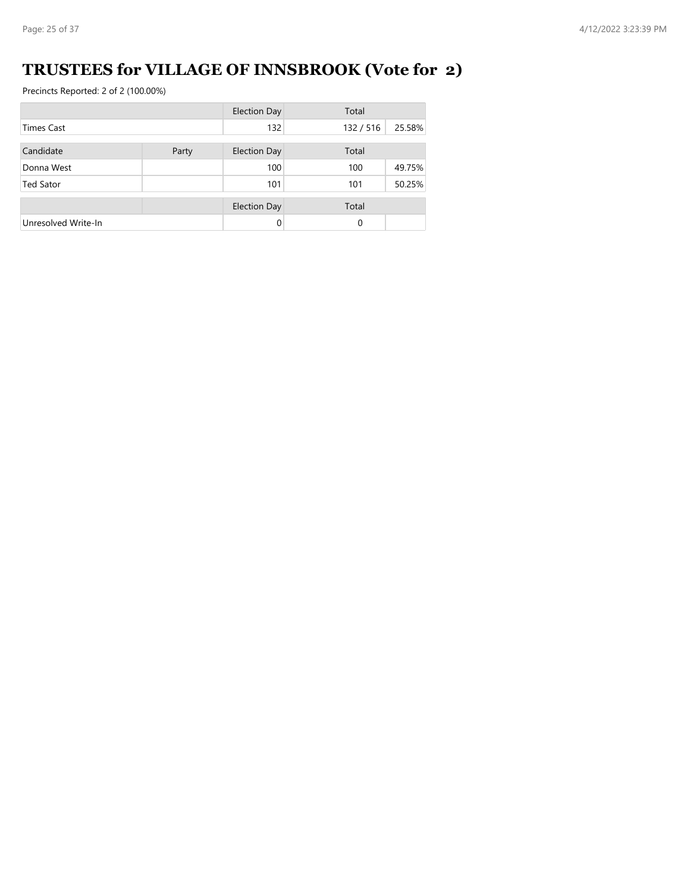# **TRUSTEES for VILLAGE OF INNSBROOK (Vote for 2)**

|                     |       | <b>Election Day</b> | Total   |        |
|---------------------|-------|---------------------|---------|--------|
| <b>Times Cast</b>   |       | 132                 | 132/516 | 25.58% |
| Candidate           | Party | <b>Election Day</b> | Total   |        |
| Donna West          |       | 100                 | 100     | 49.75% |
| <b>Ted Sator</b>    |       | 101                 | 101     | 50.25% |
|                     |       | <b>Election Day</b> | Total   |        |
| Unresolved Write-In |       | $\Omega$            | 0       |        |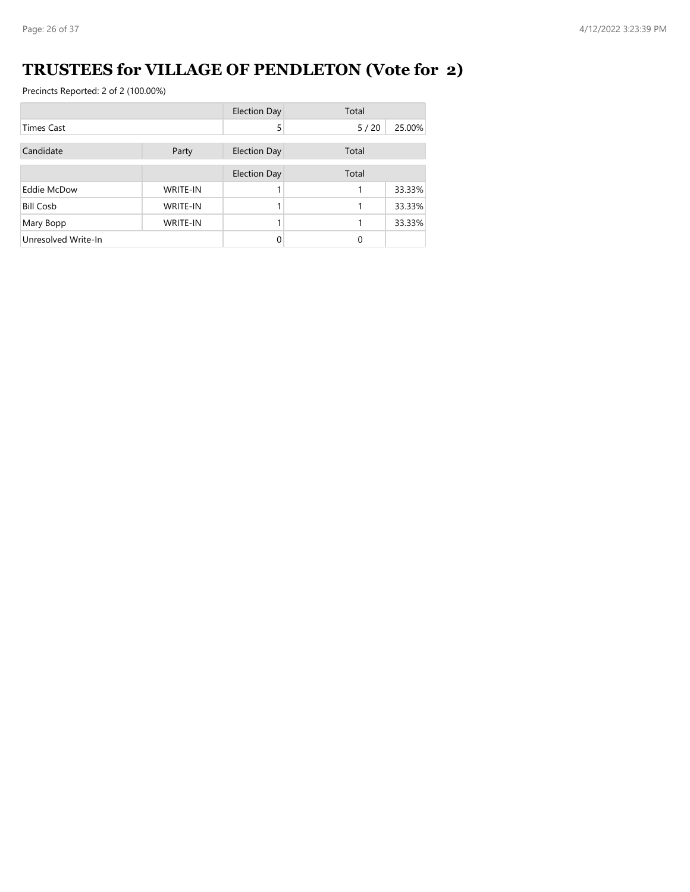# **TRUSTEES for VILLAGE OF PENDLETON (Vote for 2)**

|                     |                 | <b>Election Day</b> | Total |        |
|---------------------|-----------------|---------------------|-------|--------|
| <b>Times Cast</b>   |                 | 5                   | 5/20  | 25.00% |
| Candidate           | Party           | <b>Election Day</b> | Total |        |
|                     |                 | <b>Election Day</b> | Total |        |
| Eddie McDow         | <b>WRITE-IN</b> |                     |       | 33.33% |
| <b>Bill Cosb</b>    | <b>WRITE-IN</b> |                     |       | 33.33% |
| Mary Bopp           | <b>WRITE-IN</b> |                     |       | 33.33% |
| Unresolved Write-In |                 | 0                   | 0     |        |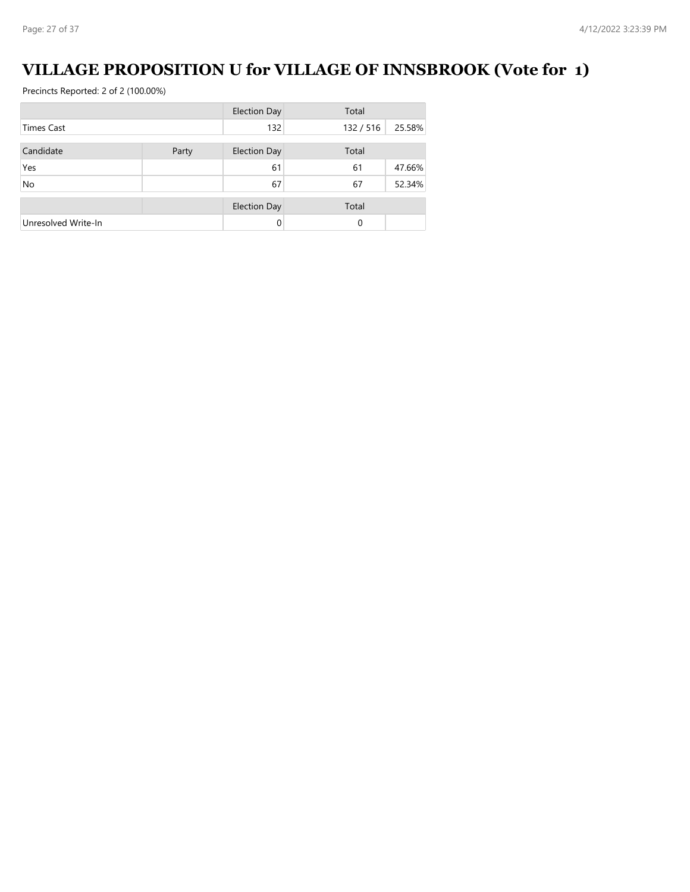# **VILLAGE PROPOSITION U for VILLAGE OF INNSBROOK (Vote for 1)**

|                     |       | <b>Election Day</b> | Total   |        |
|---------------------|-------|---------------------|---------|--------|
| <b>Times Cast</b>   |       | 132                 | 132/516 | 25.58% |
| Candidate           | Party | <b>Election Day</b> | Total   |        |
| Yes                 |       | 61                  | 61      | 47.66% |
| No                  |       | 67                  | 67      | 52.34% |
|                     |       | <b>Election Day</b> | Total   |        |
| Unresolved Write-In |       | $\Omega$            | 0       |        |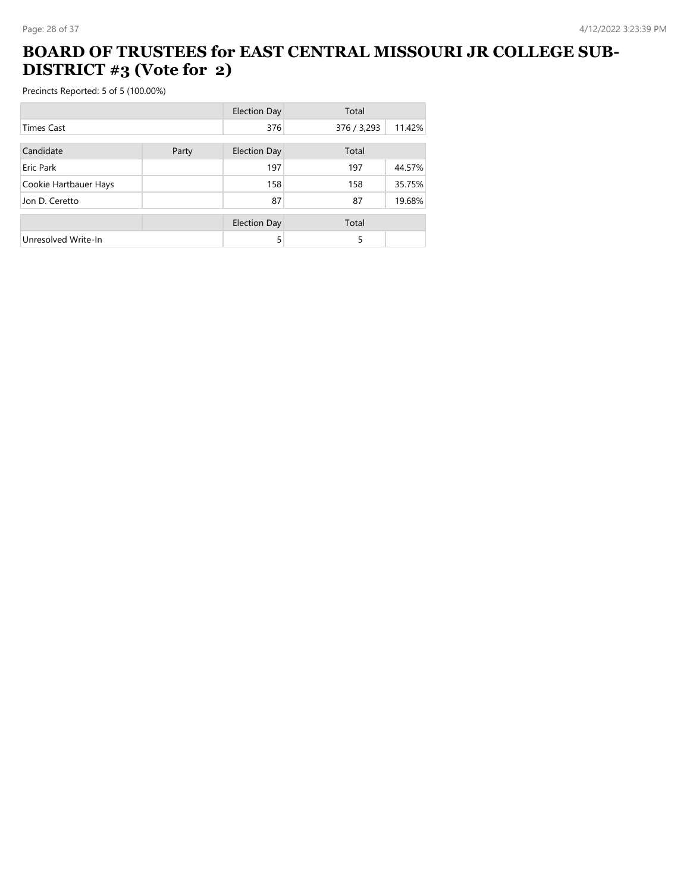#### **BOARD OF TRUSTEES for EAST CENTRAL MISSOURI JR COLLEGE SUB-DISTRICT #3 (Vote for 2)**

|                       |       | <b>Election Day</b> | Total       |        |
|-----------------------|-------|---------------------|-------------|--------|
| <b>Times Cast</b>     |       | 376                 | 376 / 3,293 | 11.42% |
|                       |       |                     |             |        |
| Candidate             | Party | <b>Election Day</b> | Total       |        |
| Eric Park             |       | 197                 | 197         | 44.57% |
| Cookie Hartbauer Hays |       | 158                 | 158         | 35.75% |
| Jon D. Ceretto        |       | 87                  | 87          | 19.68% |
|                       |       | <b>Election Day</b> | Total       |        |
| Unresolved Write-In   |       | 5                   | 5           |        |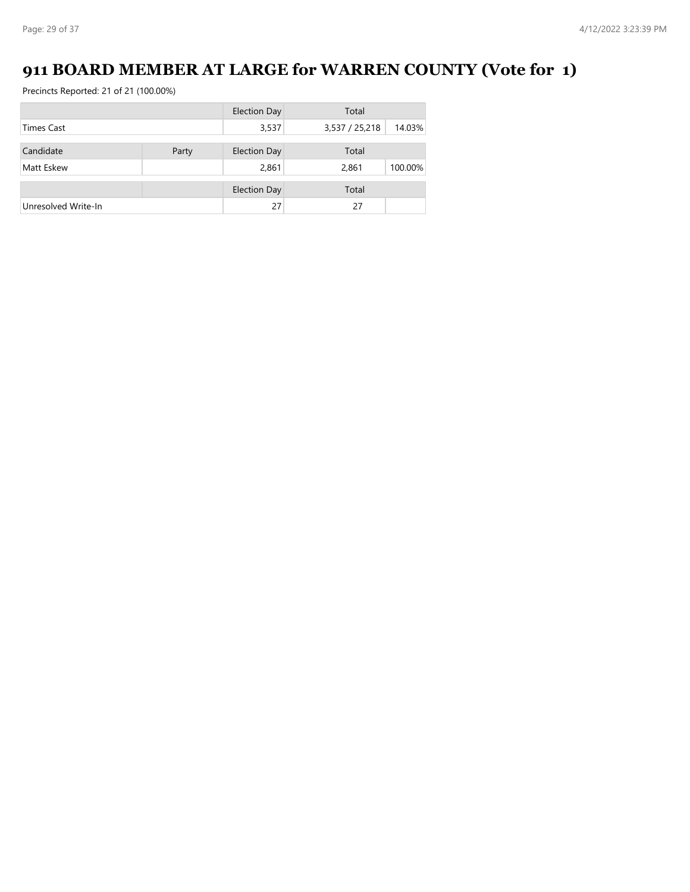# **911 BOARD MEMBER AT LARGE for WARREN COUNTY (Vote for 1)**

|                     |       | <b>Election Day</b> | Total          |         |
|---------------------|-------|---------------------|----------------|---------|
| <b>Times Cast</b>   |       | 3,537               | 3,537 / 25,218 | 14.03%  |
|                     |       |                     |                |         |
| Candidate           | Party | <b>Election Day</b> | Total          |         |
| Matt Eskew          |       | 2,861               | 2,861          | 100.00% |
|                     |       | <b>Election Day</b> | Total          |         |
|                     |       |                     |                |         |
| Unresolved Write-In |       | 27                  | 27             |         |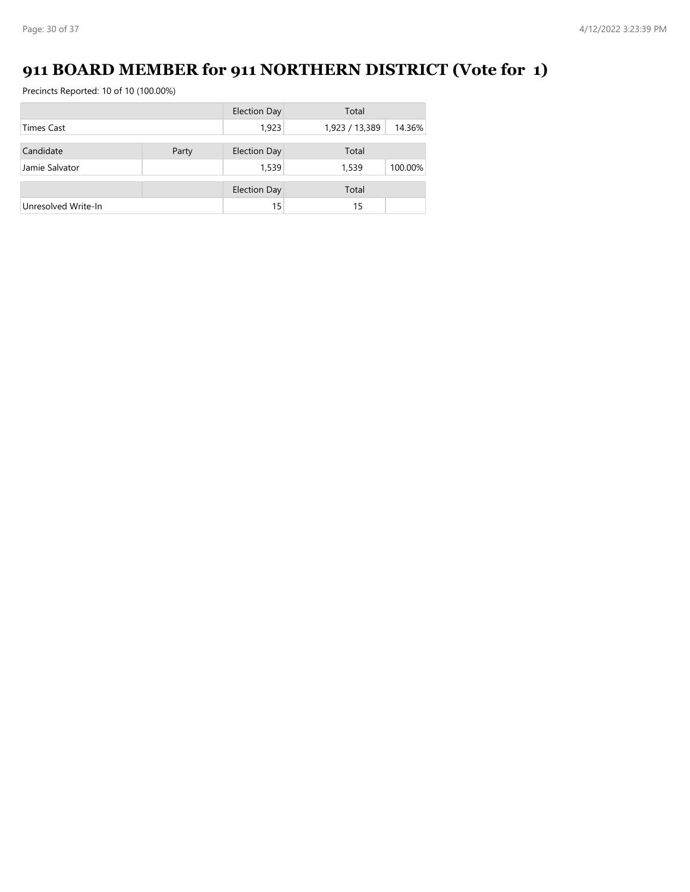# **911 BOARD MEMBER for 911 NORTHERN DISTRICT (Vote for 1)**

|                     |       | <b>Election Day</b> | Total          |         |
|---------------------|-------|---------------------|----------------|---------|
| <b>Times Cast</b>   |       | 1,923               | 1,923 / 13,389 | 14.36%  |
|                     |       |                     |                |         |
| Candidate           | Party | <b>Election Day</b> | Total          |         |
| Jamie Salvator      |       | 1,539               | 1,539          | 100.00% |
|                     |       | <b>Election Day</b> | Total          |         |
|                     |       |                     |                |         |
| Unresolved Write-In |       | 15                  | 15             |         |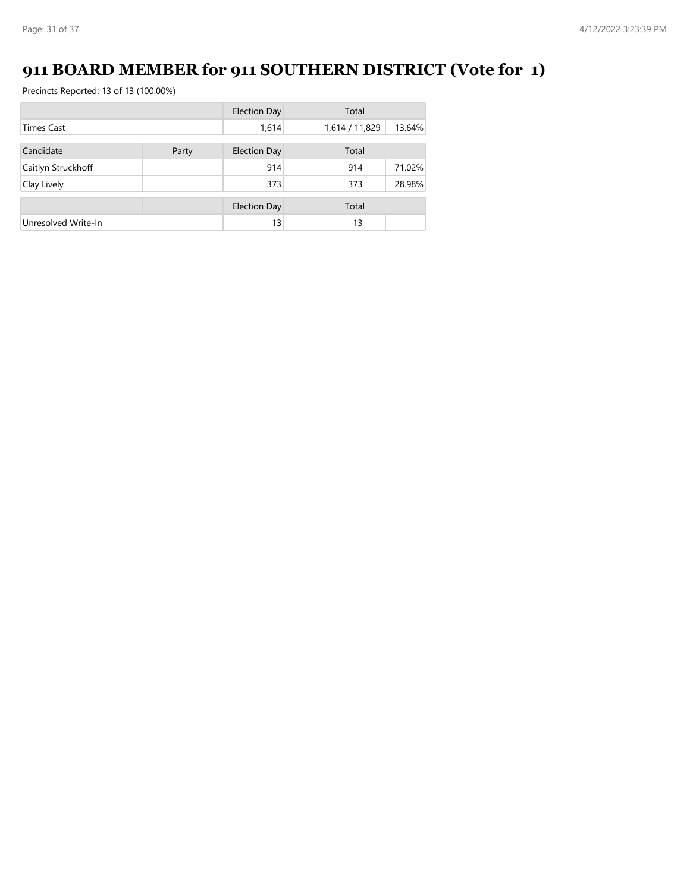# **911 BOARD MEMBER for 911 SOUTHERN DISTRICT (Vote for 1)**

|                     |       | <b>Election Day</b> | Total          |        |
|---------------------|-------|---------------------|----------------|--------|
| <b>Times Cast</b>   |       | 1,614               | 1,614 / 11,829 | 13.64% |
| Candidate           | Party | Election Day        | Total          |        |
|                     |       |                     |                |        |
| Caitlyn Struckhoff  |       | 914                 | 914            | 71.02% |
| Clay Lively         |       | 373                 | 373            | 28.98% |
|                     |       | <b>Election Day</b> | Total          |        |
| Unresolved Write-In |       | 13                  | 13             |        |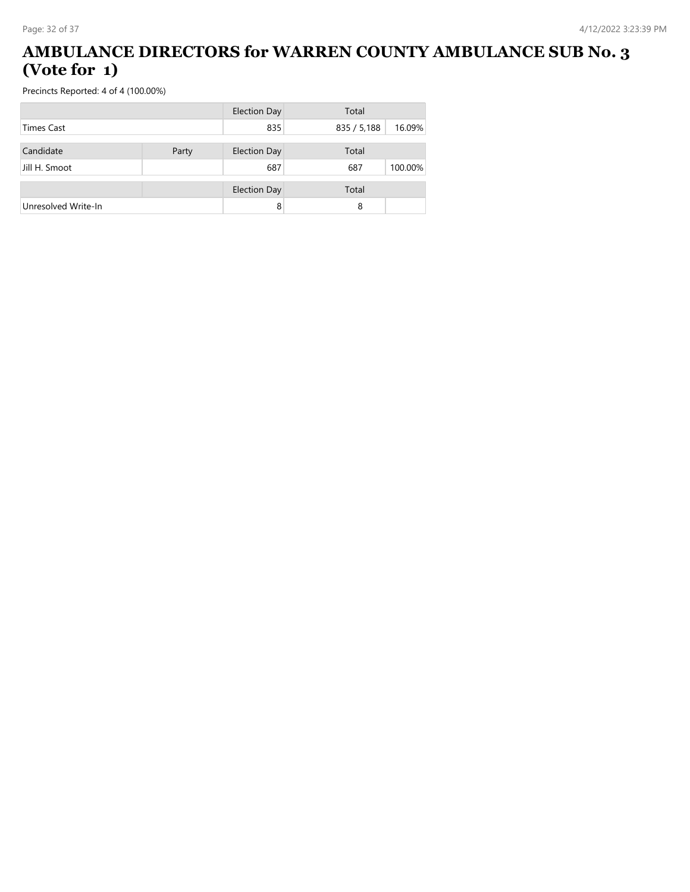#### **AMBULANCE DIRECTORS for WARREN COUNTY AMBULANCE SUB No. 3 (Vote for 1)**

|                     |       | <b>Election Day</b> | Total       |         |
|---------------------|-------|---------------------|-------------|---------|
| <b>Times Cast</b>   |       | 835                 | 835 / 5,188 | 16.09%  |
|                     |       |                     |             |         |
| Candidate           | Party | <b>Election Day</b> | Total       |         |
| Jill H. Smoot       |       | 687                 | 687         | 100.00% |
|                     |       | <b>Election Day</b> | Total       |         |
| Unresolved Write-In |       | 8                   | 8           |         |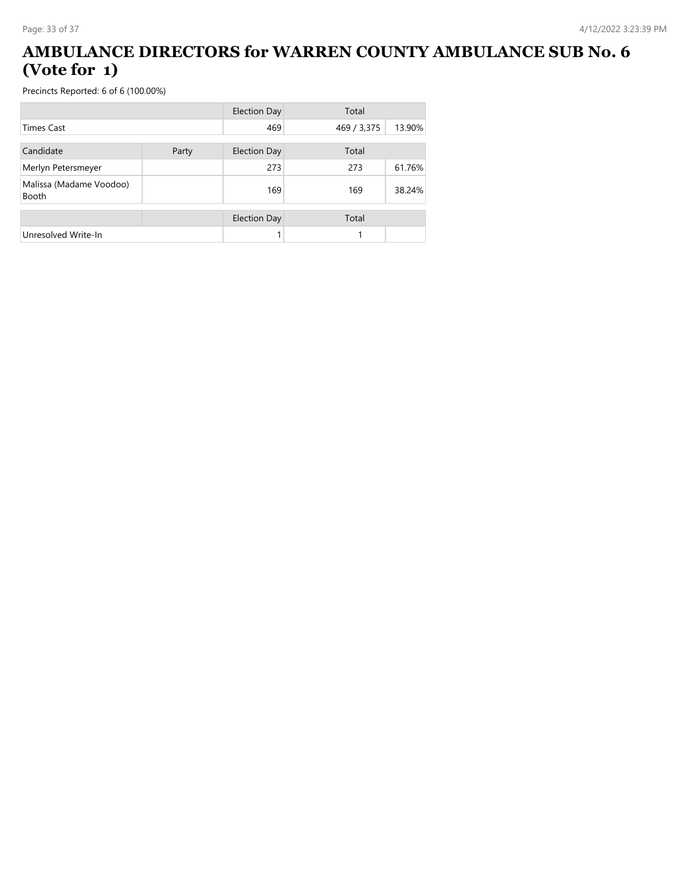#### **AMBULANCE DIRECTORS for WARREN COUNTY AMBULANCE SUB No. 6 (Vote for 1)**

|                                         |       | <b>Election Day</b> | Total       |        |
|-----------------------------------------|-------|---------------------|-------------|--------|
| <b>Times Cast</b>                       |       | 469                 | 469 / 3,375 | 13.90% |
| Candidate                               | Party | <b>Election Day</b> | Total       |        |
| Merlyn Petersmeyer                      |       | 273                 | 273         | 61.76% |
| Malissa (Madame Voodoo)<br><b>Booth</b> |       | 169                 | 169         | 38.24% |
|                                         |       | <b>Election Day</b> | Total       |        |
| Unresolved Write-In                     |       |                     |             |        |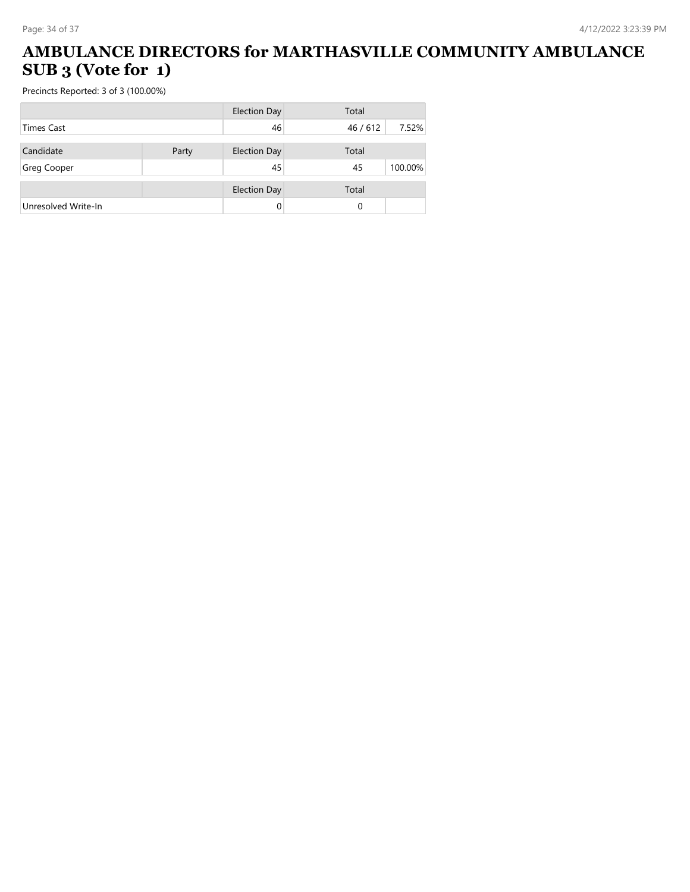#### **AMBULANCE DIRECTORS for MARTHASVILLE COMMUNITY AMBULANCE SUB 3 (Vote for 1)**

| <b>Election Day</b> |       | Total               |        |         |
|---------------------|-------|---------------------|--------|---------|
| <b>Times Cast</b>   |       | 46                  | 46/612 | 7.52%   |
| Candidate           | Party | <b>Election Day</b> | Total  |         |
| <b>Greg Cooper</b>  |       | 45                  | 45     | 100.00% |
|                     |       | <b>Election Day</b> | Total  |         |
| Unresolved Write-In |       |                     | 0      |         |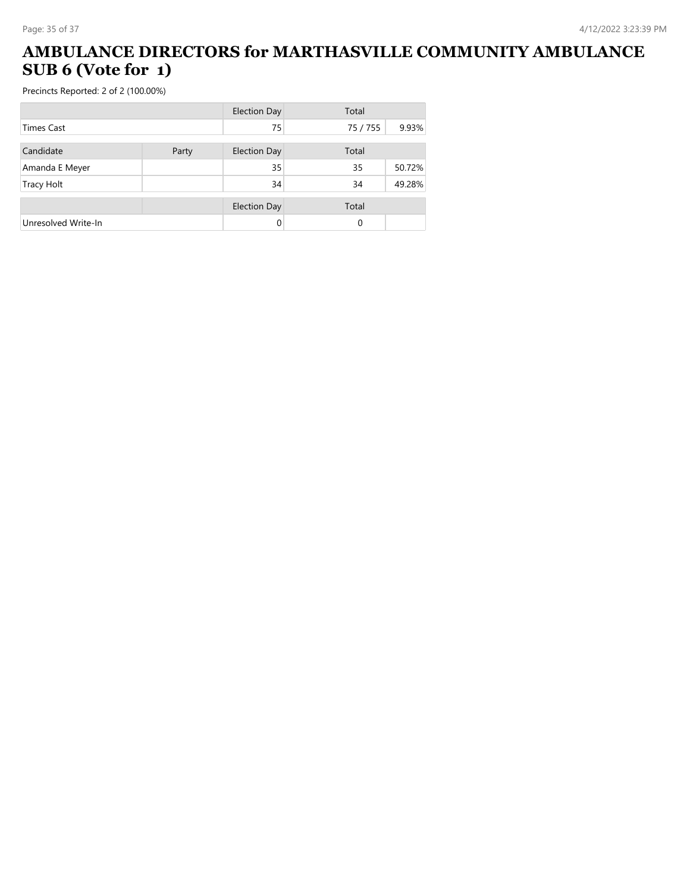#### **AMBULANCE DIRECTORS for MARTHASVILLE COMMUNITY AMBULANCE SUB 6 (Vote for 1)**

|                     |       | <b>Election Day</b> | Total    |        |
|---------------------|-------|---------------------|----------|--------|
| <b>Times Cast</b>   |       | 75                  | 75 / 755 | 9.93%  |
| Candidate           | Party | <b>Election Day</b> | Total    |        |
| Amanda E Meyer      |       | 35                  | 35       | 50.72% |
| <b>Tracy Holt</b>   |       | 34                  | 34       | 49.28% |
|                     |       | <b>Election Day</b> | Total    |        |
| Unresolved Write-In |       | 0                   | 0        |        |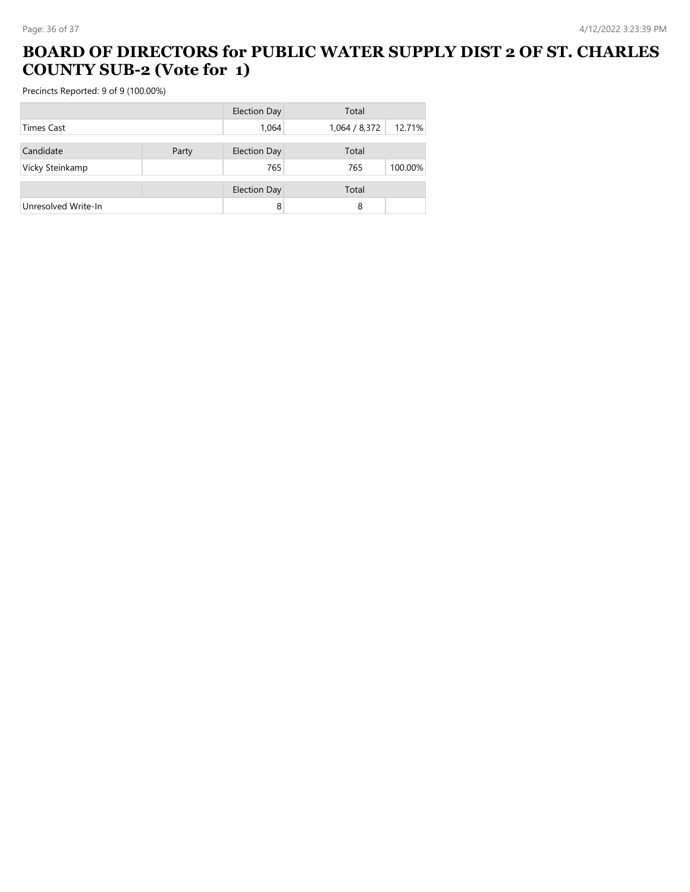#### **BOARD OF DIRECTORS for PUBLIC WATER SUPPLY DIST 2 OF ST. CHARLES COUNTY SUB-2 (Vote for 1)**

|                     |       | <b>Election Day</b> | Total         |         |
|---------------------|-------|---------------------|---------------|---------|
| <b>Times Cast</b>   |       | 1,064               | 1,064 / 8,372 | 12.71%  |
| Candidate           | Party | <b>Election Day</b> | Total         |         |
| Vicky Steinkamp     |       | 765                 | 765           | 100.00% |
|                     |       | <b>Election Day</b> | Total         |         |
| Unresolved Write-In |       | 8                   | 8             |         |